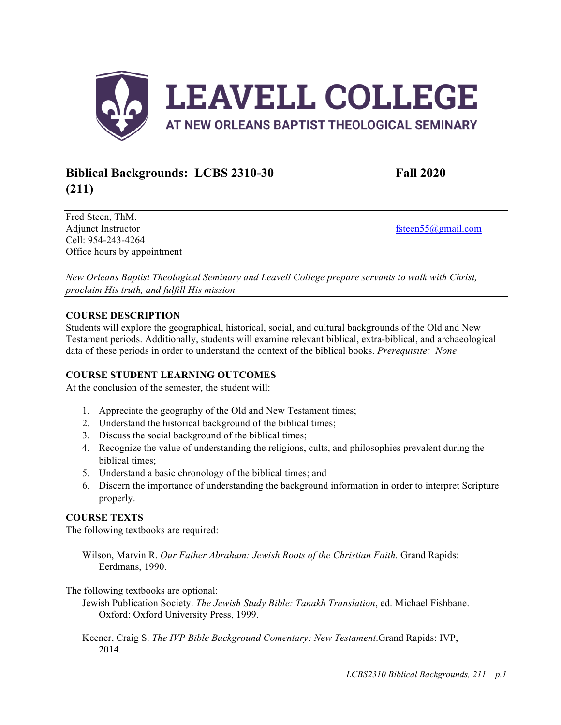

# **Biblical Backgrounds: LCBS 2310-30 Fall 2020 (211)**

Fred Steen, ThM. Adjunct Instructor fisteen55@gmail.com Cell: 954-243-4264 Office hours by appointment

*New Orleans Baptist Theological Seminary and Leavell College prepare servants to walk with Christ, proclaim His truth, and fulfill His mission.*

## **COURSE DESCRIPTION**

Students will explore the geographical, historical, social, and cultural backgrounds of the Old and New Testament periods. Additionally, students will examine relevant biblical, extra-biblical, and archaeological data of these periods in order to understand the context of the biblical books. *Prerequisite: None*

## **COURSE STUDENT LEARNING OUTCOMES**

At the conclusion of the semester, the student will:

- 1. Appreciate the geography of the Old and New Testament times;
- 2. Understand the historical background of the biblical times;
- 3. Discuss the social background of the biblical times;
- 4. Recognize the value of understanding the religions, cults, and philosophies prevalent during the biblical times;
- 5. Understand a basic chronology of the biblical times; and
- 6. Discern the importance of understanding the background information in order to interpret Scripture properly.

### **COURSE TEXTS**

The following textbooks are required:

Wilson, Marvin R. *Our Father Abraham: Jewish Roots of the Christian Faith.* Grand Rapids: Eerdmans, 1990.

The following textbooks are optional:

Jewish Publication Society. *The Jewish Study Bible: Tanakh Translation*, ed. Michael Fishbane. Oxford: Oxford University Press, 1999.

Keener, Craig S. *The IVP Bible Background Comentary: New Testament*.Grand Rapids: IVP, 2014.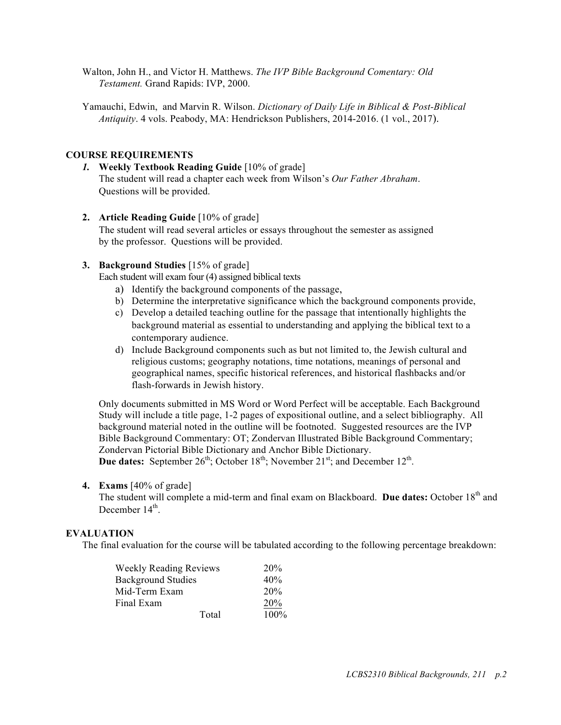Walton, John H., and Victor H. Matthews. *The IVP Bible Background Comentary: Old Testament.* Grand Rapids: IVP, 2000.

Yamauchi, Edwin, and Marvin R. Wilson. *Dictionary of Daily Life in Biblical & Post-Biblical Antiquity*. 4 vols. Peabody, MA: Hendrickson Publishers, 2014-2016. (1 vol., 2017).

### **COURSE REQUIREMENTS**

- *1.* **Weekly Textbook Reading Guide** [10% of grade] The student will read a chapter each week from Wilson's *Our Father Abraham*. Questions will be provided.
- **2. Article Reading Guide** [10% of grade]
	- The student will read several articles or essays throughout the semester as assigned by the professor. Questions will be provided.

### **3. Background Studies** [15% of grade]

Each student will exam four (4) assigned biblical texts

- a) Identify the background components of the passage,
- b) Determine the interpretative significance which the background components provide,
- c) Develop a detailed teaching outline for the passage that intentionally highlights the background material as essential to understanding and applying the biblical text to a contemporary audience.
- d) Include Background components such as but not limited to, the Jewish cultural and religious customs; geography notations, time notations, meanings of personal and geographical names, specific historical references, and historical flashbacks and/or flash-forwards in Jewish history.

Only documents submitted in MS Word or Word Perfect will be acceptable. Each Background Study will include a title page, 1-2 pages of expositional outline, and a select bibliography. All background material noted in the outline will be footnoted. Suggested resources are the IVP Bible Background Commentary: OT; Zondervan Illustrated Bible Background Commentary; Zondervan Pictorial Bible Dictionary and Anchor Bible Dictionary. **Due dates:** September  $26^{th}$ ; October  $18^{th}$ ; November  $21^{st}$ ; and December  $12^{th}$ .

#### **4. Exams** [40% of grade]

The student will complete a mid-term and final exam on Blackboard. **Due dates:** October 18th and December  $14<sup>th</sup>$ .

### **EVALUATION**

The final evaluation for the course will be tabulated according to the following percentage breakdown:

| <b>Weekly Reading Reviews</b> | 20%     |
|-------------------------------|---------|
| <b>Background Studies</b>     | 40%     |
| Mid-Term Exam                 | 20%     |
| Final Exam                    | 20%     |
| Total                         | $100\%$ |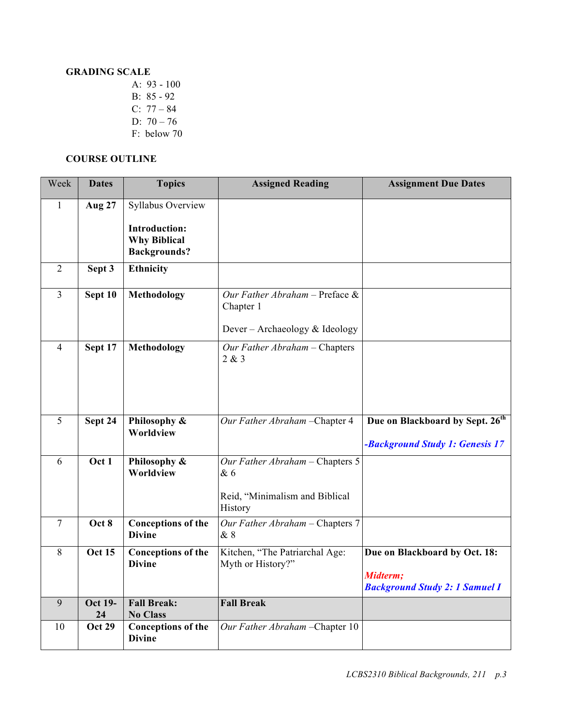## **GRADING SCALE**

A: 93 - 100 B: 85 - 92 C: 77 – 84 D: 70 – 76 F: below 70

### **COURSE OUTLINE**

| Week           | <b>Dates</b>         | <b>Topics</b>                                                      | <b>Assigned Reading</b>                             | <b>Assignment Due Dates</b>                                                        |
|----------------|----------------------|--------------------------------------------------------------------|-----------------------------------------------------|------------------------------------------------------------------------------------|
| $\mathbf{1}$   | <b>Aug 27</b>        | Syllabus Overview                                                  |                                                     |                                                                                    |
|                |                      | <b>Introduction:</b><br><b>Why Biblical</b><br><b>Backgrounds?</b> |                                                     |                                                                                    |
| $\overline{2}$ | Sept 3               | <b>Ethnicity</b>                                                   |                                                     |                                                                                    |
| $\overline{3}$ | Sept 10              | <b>Methodology</b>                                                 | Our Father Abraham - Preface $\&$<br>Chapter 1      |                                                                                    |
|                |                      |                                                                    | Dever - Archaeology & Ideology                      |                                                                                    |
| 4              | Sept 17              | <b>Methodology</b>                                                 | Our Father Abraham - Chapters<br>2 & 3              |                                                                                    |
|                |                      |                                                                    |                                                     |                                                                                    |
| $\overline{5}$ | Sept 24              | Philosophy &<br>Worldview                                          | Our Father Abraham - Chapter 4                      | Due on Blackboard by Sept. 26 <sup>th</sup>                                        |
|                |                      |                                                                    |                                                     | -Background Study 1: Genesis 17                                                    |
| 6              | Oct 1                | Philosophy &<br>Worldview                                          | Our Father Abraham - Chapters 5<br>& 6              |                                                                                    |
|                |                      |                                                                    | Reid, "Minimalism and Biblical<br>History           |                                                                                    |
| $\overline{7}$ | Oct 8                | <b>Conceptions of the</b><br><b>Divine</b>                         | Our Father Abraham - Chapters 7<br>& 8              |                                                                                    |
| 8              | <b>Oct 15</b>        | Conceptions of the<br><b>Divine</b>                                | Kitchen, "The Patriarchal Age:<br>Myth or History?" | Due on Blackboard by Oct. 18:<br>Midterm;<br><b>Background Study 2: 1 Samuel I</b> |
| 9              | <b>Oct 19-</b><br>24 | <b>Fall Break:</b><br><b>No Class</b>                              | <b>Fall Break</b>                                   |                                                                                    |
| 10             | <b>Oct 29</b>        | <b>Conceptions of the</b><br><b>Divine</b>                         | Our Father Abraham - Chapter 10                     |                                                                                    |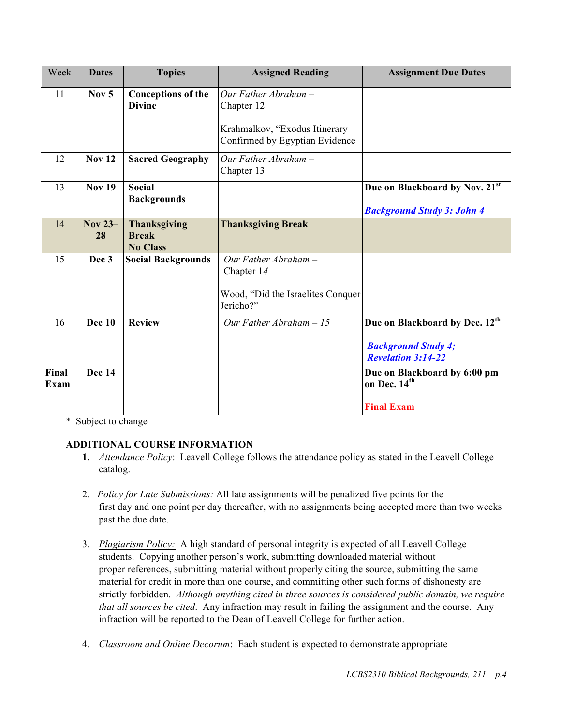| Week          | <b>Dates</b>         | <b>Topics</b>                                          | <b>Assigned Reading</b>                                                                                 | <b>Assignment Due Dates</b>                                                                           |
|---------------|----------------------|--------------------------------------------------------|---------------------------------------------------------------------------------------------------------|-------------------------------------------------------------------------------------------------------|
| 11            | Nov $5$              | <b>Conceptions of the</b><br><b>Divine</b>             | Our Father Abraham $-$<br>Chapter 12<br>Krahmalkov, "Exodus Itinerary<br>Confirmed by Egyptian Evidence |                                                                                                       |
| 12            | <b>Nov 12</b>        | <b>Sacred Geography</b>                                | Our Father Abraham -<br>Chapter 13                                                                      |                                                                                                       |
| 13            | <b>Nov 19</b>        | <b>Social</b><br><b>Backgrounds</b>                    |                                                                                                         | Due on Blackboard by Nov. 21st<br><b>Background Study 3: John 4</b>                                   |
| 14            | <b>Nov 23-</b><br>28 | <b>Thanksgiving</b><br><b>Break</b><br><b>No Class</b> | <b>Thanksgiving Break</b>                                                                               |                                                                                                       |
| 15            | Dec 3                | <b>Social Backgrounds</b>                              | Our Father Abraham $-$<br>Chapter 14<br>Wood, "Did the Israelites Conquer<br>Jericho?"                  |                                                                                                       |
| 16            | <b>Dec 10</b>        | <b>Review</b>                                          | Our Father Abraham $-15$                                                                                | Due on Blackboard by Dec. 12 <sup>th</sup><br><b>Background Study 4;</b><br><b>Revelation 3:14-22</b> |
| Final<br>Exam | Dec 14               |                                                        |                                                                                                         | Due on Blackboard by 6:00 pm<br>on Dec. 14 <sup>th</sup><br><b>Final Exam</b>                         |

\* Subject to change

# **ADDITIONAL COURSE INFORMATION**

- **1.** *Attendance Policy*: Leavell College follows the attendance policy as stated in the Leavell College catalog.
- 2. *Policy for Late Submissions:* All late assignments will be penalized five points for the first day and one point per day thereafter, with no assignments being accepted more than two weeks past the due date.
- 3. *Plagiarism Policy:* A high standard of personal integrity is expected of all Leavell College students. Copying another person's work, submitting downloaded material without proper references, submitting material without properly citing the source, submitting the same material for credit in more than one course, and committing other such forms of dishonesty are strictly forbidden. *Although anything cited in three sources is considered public domain, we require that all sources be cited*. Any infraction may result in failing the assignment and the course. Any infraction will be reported to the Dean of Leavell College for further action.
- 4. *Classroom and Online Decorum*: Each student is expected to demonstrate appropriate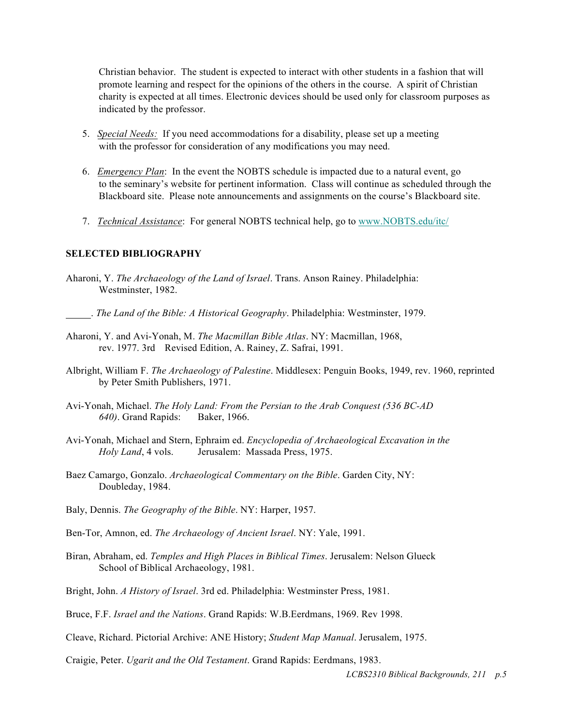Christian behavior. The student is expected to interact with other students in a fashion that will promote learning and respect for the opinions of the others in the course. A spirit of Christian charity is expected at all times. Electronic devices should be used only for classroom purposes as indicated by the professor.

- 5. *Special Needs:* If you need accommodations for a disability, please set up a meeting with the professor for consideration of any modifications you may need.
- 6. *Emergency Plan*: In the event the NOBTS schedule is impacted due to a natural event, go to the seminary's website for pertinent information. Class will continue as scheduled through the Blackboard site. Please note announcements and assignments on the course's Blackboard site.
- 7. *Technical Assistance*: For general NOBTS technical help, go to www.NOBTS.edu/itc/

#### **SELECTED BIBLIOGRAPHY**

- Aharoni, Y. *The Archaeology of the Land of Israel*. Trans. Anson Rainey. Philadelphia: Westminster, 1982.
- . *The Land of the Bible: A Historical Geography*. Philadelphia: Westminster, 1979.
- Aharoni, Y. and Avi-Yonah, M. *The Macmillan Bible Atlas*. NY: Macmillan, 1968, rev. 1977. 3rd Revised Edition, A. Rainey, Z. Safrai, 1991.
- Albright, William F. *The Archaeology of Palestine*. Middlesex: Penguin Books, 1949, rev. 1960, reprinted by Peter Smith Publishers, 1971.
- Avi-Yonah, Michael. *The Holy Land: From the Persian to the Arab Conquest (536 BC-AD 640)*. Grand Rapids: Baker, 1966.
- Avi-Yonah, Michael and Stern, Ephraim ed. *Encyclopedia of Archaeological Excavation in the Holy Land*, 4 vols. Jerusalem: Massada Press, 1975.
- Baez Camargo, Gonzalo. *Archaeological Commentary on the Bible*. Garden City, NY: Doubleday, 1984.
- Baly, Dennis. *The Geography of the Bible*. NY: Harper, 1957.
- Ben-Tor, Amnon, ed. *The Archaeology of Ancient Israel*. NY: Yale, 1991.
- Biran, Abraham, ed. *Temples and High Places in Biblical Times*. Jerusalem: Nelson Glueck School of Biblical Archaeology, 1981.
- Bright, John. *A History of Israel*. 3rd ed. Philadelphia: Westminster Press, 1981.
- Bruce, F.F. *Israel and the Nations*. Grand Rapids: W.B.Eerdmans, 1969. Rev 1998.
- Cleave, Richard. Pictorial Archive: ANE History; *Student Map Manual*. Jerusalem, 1975.

Craigie, Peter. *Ugarit and the Old Testament*. Grand Rapids: Eerdmans, 1983.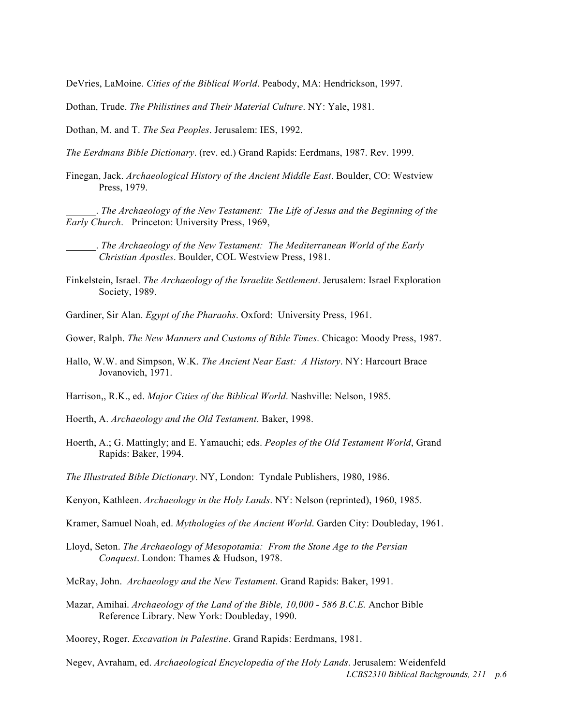DeVries, LaMoine. *Cities of the Biblical World*. Peabody, MA: Hendrickson, 1997.

Dothan, Trude. *The Philistines and Their Material Culture*. NY: Yale, 1981.

Dothan, M. and T. *The Sea Peoples*. Jerusalem: IES, 1992.

*The Eerdmans Bible Dictionary*. (rev. ed.) Grand Rapids: Eerdmans, 1987. Rev. 1999.

Finegan, Jack. *Archaeological History of the Ancient Middle East*. Boulder, CO: Westview Press, 1979.

 . *The Archaeology of the New Testament: The Life of Jesus and the Beginning of the Early Church*. Princeton: University Press, 1969,

 . *The Archaeology of the New Testament: The Mediterranean World of the Early Christian Apostles*. Boulder, COL Westview Press, 1981.

- Finkelstein, Israel. *The Archaeology of the Israelite Settlement*. Jerusalem: Israel Exploration Society, 1989.
- Gardiner, Sir Alan. *Egypt of the Pharaohs*. Oxford: University Press, 1961.
- Gower, Ralph. *The New Manners and Customs of Bible Times*. Chicago: Moody Press, 1987.
- Hallo, W.W. and Simpson, W.K. *The Ancient Near East: A History*. NY: Harcourt Brace Jovanovich, 1971.
- Harrison,, R.K., ed. *Major Cities of the Biblical World*. Nashville: Nelson, 1985.
- Hoerth, A. *Archaeology and the Old Testament*. Baker, 1998.
- Hoerth, A.; G. Mattingly; and E. Yamauchi; eds. *Peoples of the Old Testament World*, Grand Rapids: Baker, 1994.
- *The Illustrated Bible Dictionary*. NY, London: Tyndale Publishers, 1980, 1986.
- Kenyon, Kathleen. *Archaeology in the Holy Lands*. NY: Nelson (reprinted), 1960, 1985.
- Kramer, Samuel Noah, ed. *Mythologies of the Ancient World*. Garden City: Doubleday, 1961.
- Lloyd, Seton. *The Archaeology of Mesopotamia: From the Stone Age to the Persian Conquest*. London: Thames & Hudson, 1978.
- McRay, John. *Archaeology and the New Testament*. Grand Rapids: Baker, 1991.
- Mazar, Amihai. *Archaeology of the Land of the Bible, 10,000 - 586 B.C.E.* Anchor Bible Reference Library. New York: Doubleday, 1990.
- Moorey, Roger. *Excavation in Palestine*. Grand Rapids: Eerdmans, 1981.
- *LCBS2310 Biblical Backgrounds, 211 p.6* Negev, Avraham, ed. *Archaeological Encyclopedia of the Holy Lands*. Jerusalem: Weidenfeld